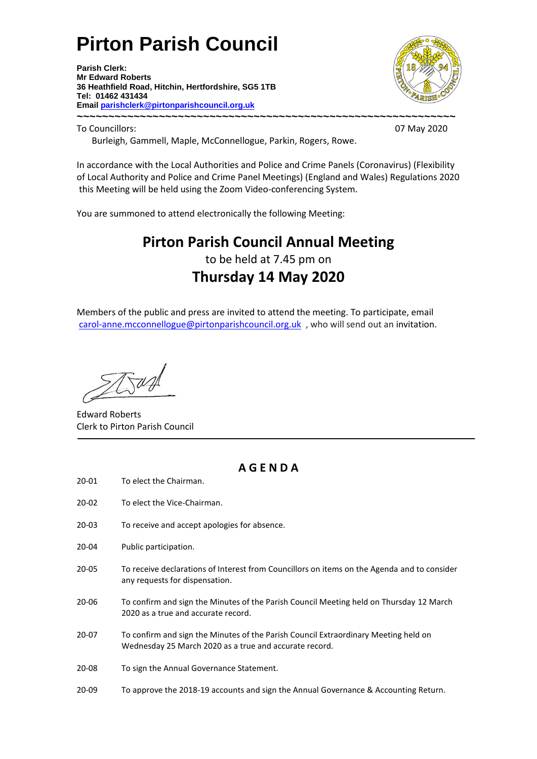# **Pirton Parish Council**

**Parish Clerk: Mr Edward Roberts 36 Heathfield Road, Hitchin, Hertfordshire, SG5 1TB Tel: 01462 431434 Email parishclerk@pirtonparishcouncil.org.uk ~~~~~~~~~~~~~~~~~~~~~~~~~~~~~~~~~~~~~~~~~~~~~~~~~~~~~~~~~~~~**



To Councillors: 07 May 2020

Burleigh, Gammell, Maple, McConnellogue, Parkin, Rogers, Rowe.

In accordance with the Local Authorities and Police and Crime Panels (Coronavirus) (Flexibility of Local Authority and Police and Crime Panel Meetings) (England and Wales) Regulations 2020 this Meeting will be held using the Zoom Video-conferencing System.

You are summoned to attend electronically the following Meeting:

## **Pirton Parish Council Annual Meeting** to be held at 7.45 pm on **Thursday 14 May 2020**

Members of the public and press are invited to attend the meeting. To participate, email [carol-anne.mcconnellogue@pirtonparishcouncil.org.uk](mailto:carol-anne.mcconnellogue@pirtonparishcouncil.org.uk) , who will send out an invitation.

Edward Roberts Clerk to Pirton Parish Council

### **A G E N D A**

- 20-01 To elect the Chairman.
- 20-02 To elect the Vice-Chairman.
- 20-03 To receive and accept apologies for absence.
- 20-04 Public participation.
- 20-05 To receive declarations of Interest from Councillors on items on the Agenda and to consider any requests for dispensation.
- 20-06 To confirm and sign the Minutes of the Parish Council Meeting held on Thursday 12 March 2020 as a true and accurate record.
- 20-07 To confirm and sign the Minutes of the Parish Council Extraordinary Meeting held on Wednesday 25 March 2020 as a true and accurate record.
- 20-08 To sign the Annual Governance Statement.
- 20-09 To approve the 2018-19 accounts and sign the Annual Governance & Accounting Return.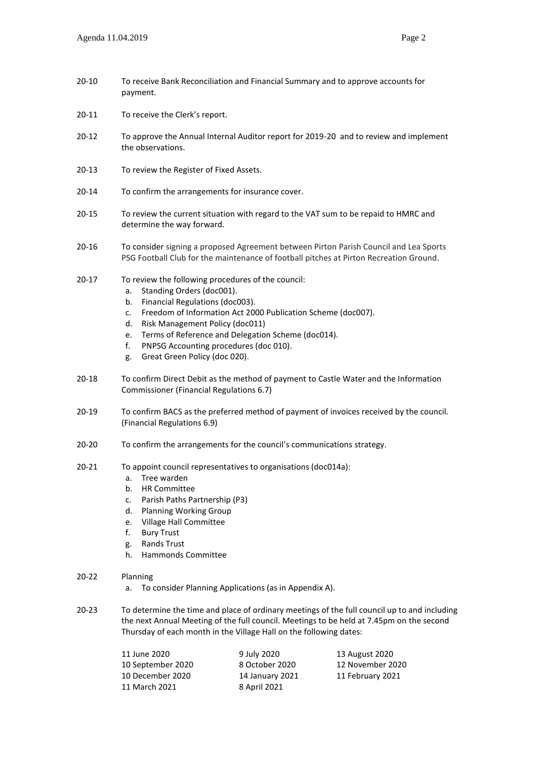- 20-10 To receive Bank Reconciliation and Financial Summary and to approve accounts for payment.
- 20-11 To receive the Clerk's report.
- 20-12 To approve the Annual Internal Auditor report for 2019-20 and to review and implement the observations.
- 20-13 To review the Register of Fixed Assets.
- 20-14 To confirm the arrangements for insurance cover.
- 20-15 To review the current situation with regard to the VAT sum to be repaid to HMRC and determine the way forward.
- 20-16 To consider signing a proposed Agreement between Pirton Parish Council and Lea Sports PSG Football Club for the maintenance of football pitches at Pirton Recreation Ground.
- 20-17 To review the following procedures of the council:
	- a. Standing Orders (doc001).
	- b. Financial Regulations (doc003).
	- c. Freedom of Information Act 2000 Publication Scheme (doc007).
	- d. Risk Management Policy (doc011)
	- e. Terms of Reference and Delegation Scheme (doc014).
	- f. PNPSG Accounting procedures (doc 010).
	- g. Great Green Policy (doc 020).
- 20-18 To confirm Direct Debit as the method of payment to Castle Water and the Information Commissioner (Financial Regulations 6.7)
- 20-19 To confirm BACS as the preferred method of payment of invoices received by the council. (Financial Regulations 6.9)
- 20-20 To confirm the arrangements for the council's communications strategy.
- 20-21 To appoint council representatives to organisations (doc014a):
	- a. Tree warden
	- b. HR Committee
	- c. Parish Paths Partnership (P3)
	- d. Planning Working Group
	- e. Village Hall Committee
	- f. Bury Trust
	- g. Rands Trust
	- h. Hammonds Committee
- 20-22 Planning
	- a. To consider Planning Applications (as in Appendix A).
- 20-23 To determine the time and place of ordinary meetings of the full council up to and including the next Annual Meeting of the full council. Meetings to be held at 7.45pm on the second Thursday of each month in the Village Hall on the following dates:

| 11 June 2020      | 9 July 2020     | 13 August 2020   |
|-------------------|-----------------|------------------|
| 10 September 2020 | 8 October 2020  | 12 November 2020 |
| 10 December 2020  | 14 January 2021 | 11 February 2021 |
| 11 March 2021     | 8 April 2021    |                  |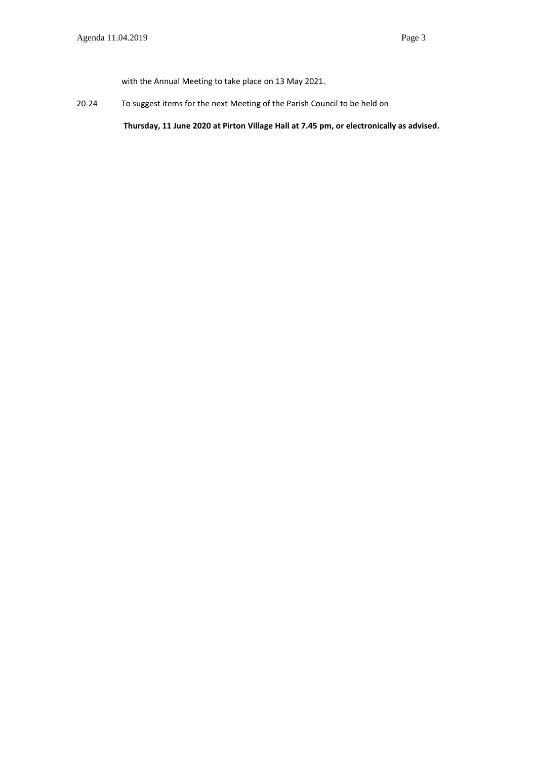with the Annual Meeting to take place on 13 May 2021.

20-24 To suggest items for the next Meeting of the Parish Council to be held on

**Thursday, 11 June 2020 at Pirton Village Hall at 7.45 pm, or electronically as advised.**